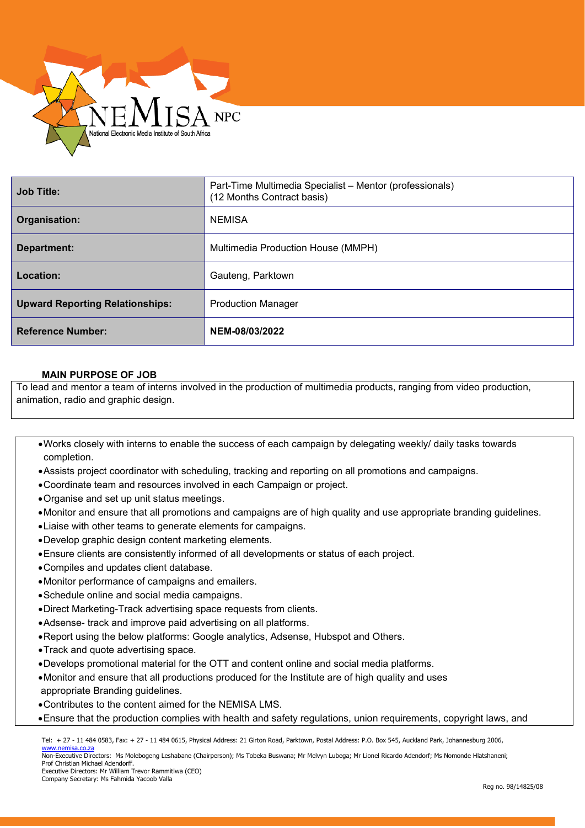

| <b>Job Title:</b>                      | Part-Time Multimedia Specialist - Mentor (professionals)<br>(12 Months Contract basis) |
|----------------------------------------|----------------------------------------------------------------------------------------|
| Organisation:                          | <b>NEMISA</b>                                                                          |
| Department:                            | Multimedia Production House (MMPH)                                                     |
| Location:                              | Gauteng, Parktown                                                                      |
| <b>Upward Reporting Relationships:</b> | <b>Production Manager</b>                                                              |
| <b>Reference Number:</b>               | NEM-08/03/2022                                                                         |

# **MAIN PURPOSE OF JOB**

To lead and mentor a team of interns involved in the production of multimedia products, ranging from video production, animation, radio and graphic design.

- •Works closely with interns to enable the success of each campaign by delegating weekly/ daily tasks towards completion.
- •Assists project coordinator with scheduling, tracking and reporting on all promotions and campaigns.
- •Coordinate team and resources involved in each Campaign or project.
- •Organise and set up unit status meetings.
- •Monitor and ensure that all promotions and campaigns are of high quality and use appropriate branding guidelines.
- •Liaise with other teams to generate elements for campaigns.
- •Develop graphic design content marketing elements.
- •Ensure clients are consistently informed of all developments or status of each project.
- •Compiles and updates client database.
- •Monitor performance of campaigns and emailers.
- •Schedule online and social media campaigns.
- •Direct Marketing-Track advertising space requests from clients.
- •Adsense- track and improve paid advertising on all platforms.
- •Report using the below platforms: Google analytics, Adsense, Hubspot and Others.
- •Track and quote advertising space.
- •Develops promotional material for the OTT and content online and social media platforms.
- •Monitor and ensure that all productions produced for the Institute are of high quality and uses appropriate Branding guidelines.
- •Contributes to the content aimed for the NEMISA LMS.
- •Ensure that the production complies with health and safety regulations, union requirements, copyright laws, and

Tel: + 27 - 11 484 0583, Fax: + 27 - 11 484 0615, Physical Address: 21 Girton Road, Parktown, Postal Address: P.O. Box 545, Auckland Park, Johannesburg 2006,

[www.nemisa.co.za](http://www.nemisa.co.za/) Non-Executive Directors: Ms Molebogeng Leshabane (Chairperson); Ms Tobeka Buswana; Mr Melvyn Lubega; Mr Lionel Ricardo Adendorf; Ms Nomonde Hlatshaneni; Prof Christian Michael Adendorff. Executive Directors: Mr William Trevor Rammitlwa (CEO)

Company Secretary: Ms Fahmida Yacoob Valla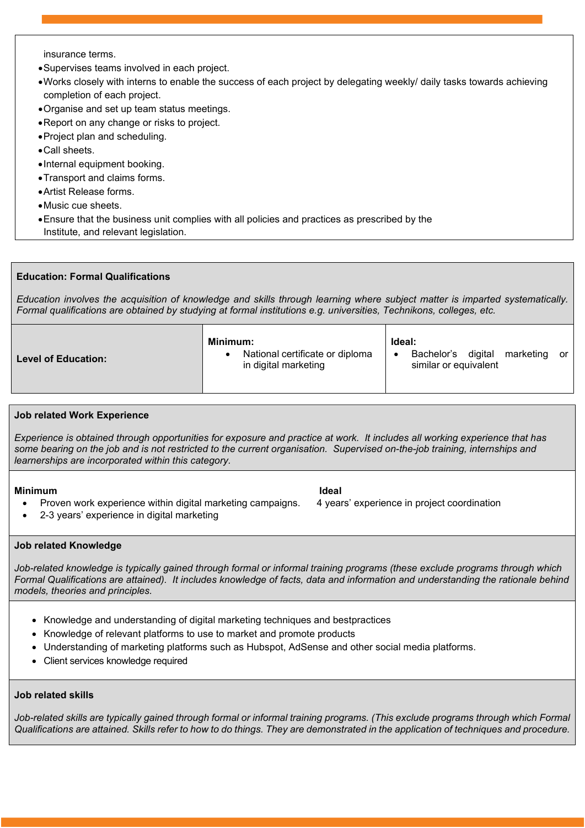insurance terms.

- •Supervises teams involved in each project.
- •Works closely with interns to enable the success of each project by delegating weekly/ daily tasks towards achieving completion of each project.
- •Organise and set up team status meetings.
- •Report on any change or risks to project.
- •Project plan and scheduling.
- •Call sheets.
- •Internal equipment booking.
- •Transport and claims forms.
- •Artist Release forms.
- •Music cue sheets.
- •Ensure that the business unit complies with all policies and practices as prescribed by the Institute, and relevant legislation.

# **Education: Formal Qualifications**

*Education involves the acquisition of knowledge and skills through learning where subject matter is imparted systematically. Formal qualifications are obtained by studying at formal institutions e.g. universities, Technikons, colleges, etc.*

| Minimum:<br>Ideal:<br>National certificate or diploma<br>Bachelor's digital<br>marketing<br><b>Level of Education:</b><br>in digital marketing<br>similar or equivalent | or |  |
|-------------------------------------------------------------------------------------------------------------------------------------------------------------------------|----|--|
|-------------------------------------------------------------------------------------------------------------------------------------------------------------------------|----|--|

### **Job related Work Experience**

*Experience is obtained through opportunities for exposure and practice at work. It includes all working experience that has some bearing on the job and is not restricted to the current organisation. Supervised on-the-job training, internships and learnerships are incorporated within this category.*

### **Minimum Ideal**

- Proven work experience within digital marketing campaigns. 4 years' experience in project coordination
- 2-3 years' experience in digital marketing

### **Job related Knowledge**

*Job-related knowledge is typically gained through formal or informal training programs (these exclude programs through which Formal Qualifications are attained). It includes knowledge of facts, data and information and understanding the rationale behind models, theories and principles.*

- Knowledge and understanding of digital marketing techniques and bestpractices
- Knowledge of relevant platforms to use to market and promote products
- Understanding of marketing platforms such as Hubspot, AdSense and other social media platforms.
- Client services knowledge required

### **Job related skills**

Job-related skills are typically gained through formal or informal training programs. (This exclude programs through which Formal *Qualifications are attained. Skills refer to how to do things. They are demonstrated in the application of techniques and procedure.*